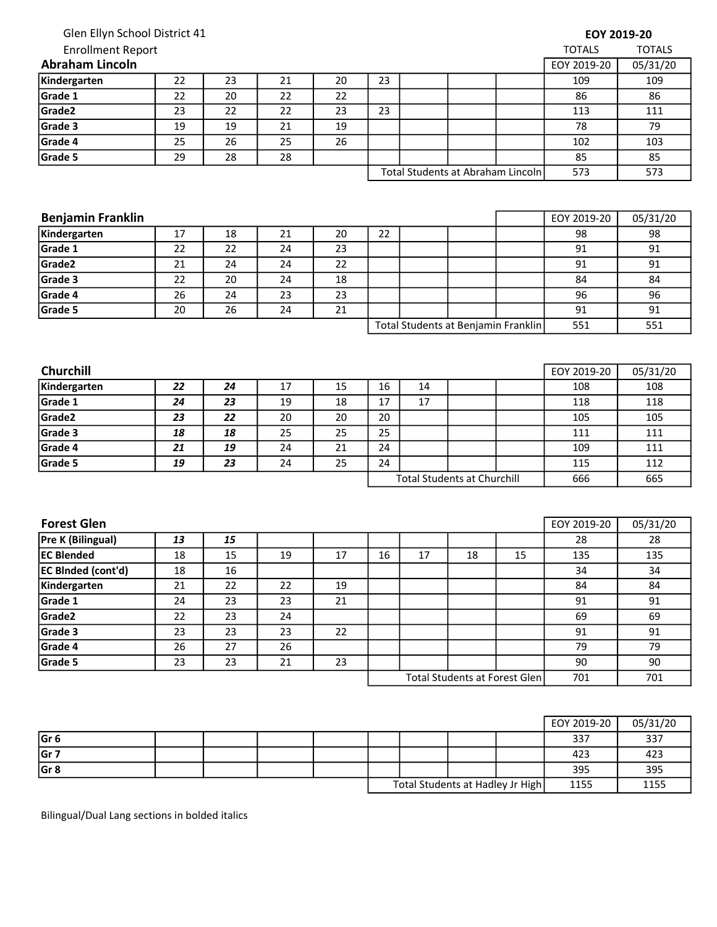| Glen Ellyn School District 41 |    |                 |    |    |                                     |    |                                   |     |               | EOY 2019-20   |
|-------------------------------|----|-----------------|----|----|-------------------------------------|----|-----------------------------------|-----|---------------|---------------|
| <b>Enrollment Report</b>      |    |                 |    |    |                                     |    |                                   |     | <b>TOTALS</b> | <b>TOTALS</b> |
| <b>Abraham Lincoln</b>        |    |                 |    |    |                                     |    |                                   |     | EOY 2019-20   | 05/31/20      |
| Kindergarten                  | 22 | 23              | 21 | 20 | 23                                  |    |                                   |     | 109           | 109           |
| Grade 1                       | 22 | 20              | 22 | 22 |                                     |    |                                   |     | 86            | 86            |
| Grade2                        | 23 | 22              | 22 | 23 | 23                                  |    |                                   |     | 113           | 111           |
| Grade 3                       | 19 | 19              | 21 | 19 |                                     |    |                                   |     | 78            | 79            |
| Grade 4                       | 25 | 26              | 25 | 26 |                                     |    |                                   |     | 102           | 103           |
| Grade 5                       | 29 | 28              | 28 |    |                                     |    |                                   |     | 85            | 85            |
|                               |    |                 |    |    |                                     |    | Total Students at Abraham Lincoln | 573 | 573           |               |
| <b>Benjamin Franklin</b>      |    |                 |    |    |                                     |    |                                   |     | EOY 2019-20   | 05/31/20      |
| Kindergarten                  | 17 | 18              | 21 | 20 | 22                                  |    |                                   |     | 98            | 98            |
| Grade 1                       | 22 | 22              | 24 | 23 |                                     |    |                                   |     | 91            | 91            |
| Grade <sub>2</sub>            | 21 | 24              | 24 | 22 |                                     |    |                                   |     | 91            | 91            |
| Grade 3                       | 22 | 20              | 24 | 18 |                                     |    |                                   |     | 84            | 84            |
| Grade 4                       | 26 | 24              | 23 | 23 |                                     |    |                                   |     | 96            | 96            |
| Grade 5                       | 20 | 26              | 24 | 21 |                                     |    |                                   |     | 91            | 91            |
|                               |    |                 |    |    | Total Students at Benjamin Franklin |    |                                   |     | 551           | 551           |
| Churchill                     |    |                 |    |    |                                     |    |                                   |     | EOY 2019-20   | 05/31/20      |
| Kindergarten                  | 22 | 24              | 17 | 15 | 16                                  | 14 |                                   |     | 108           | 108           |
| Grade 1                       | 24 | 23              | 19 | 18 | 17                                  | 17 |                                   |     | 118           | 118           |
| Grade <sub>2</sub>            | 23 | 22              | 20 | 20 | 20                                  |    |                                   |     | 105           | 105           |
| Grade 3                       | 18 | 18              | 25 | 25 | 25                                  |    |                                   |     | 111           | 111           |
| Grade 4                       | 21 | 19              | 24 | 21 | 24                                  |    |                                   |     | 109           | 111           |
| Grade 5                       | 19 | 23              | 24 | 25 | 24                                  |    |                                   |     | 115           | 112           |
|                               |    |                 |    |    | <b>Total Students at Churchill</b>  |    |                                   | 666 | 665           |               |
|                               |    |                 |    |    |                                     |    |                                   |     |               |               |
| <b>Forest Glen</b>            |    |                 |    |    |                                     |    |                                   |     | EOY 2019-20   | 05/31/20      |
| <b>Pre K (Bilingual)</b>      | 13 | 15              |    |    |                                     |    |                                   |     | 28            | 28            |
| <b>EC Blended</b>             | 18 | $\overline{15}$ | 19 | 17 | 16                                  | 17 | 18                                | 15  | 135           | 135           |
| <b>EC BInded (cont'd)</b>     | 18 | 16              |    |    |                                     |    |                                   |     | 34            | 34            |

|                 |  |  |                                  |  |      | EOY 2019-20 | 05/31/20 |
|-----------------|--|--|----------------------------------|--|------|-------------|----------|
| Gr <sub>6</sub> |  |  |                                  |  |      | 337         | 337      |
| Gr 7            |  |  |                                  |  |      | 423         | 423      |
| Gr 8            |  |  |                                  |  |      | 395         | 395      |
|                 |  |  | Total Students at Hadley Jr High |  | 1155 | 1155        |          |

Total Students at Forest Glen

701 701

**Kindergarten 21 22 22 19 19 84 84** Grade 1 | 24 | 23 | 23 | 21 | | | | | | | | 91 | 91 Grade2 | 22 | 23 | 24 | | | | | 69 | 69 Grade 3 23 23 23 22 91 91 Grade 4 | 26 | 27 | 26 | | | | | 79 | 79 Grade 5 | 23 | 21 | 23 | | | | 90 | 90

Bilingual/Dual Lang sections in bolded italics